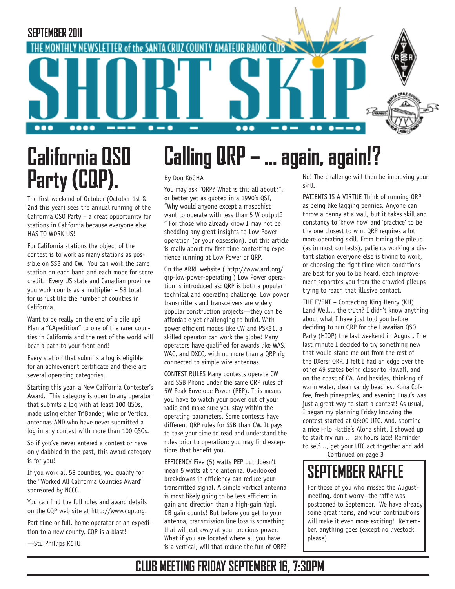

# **California QSO Party (CQP).**

The first weekend of October (October 1st & 2nd this year) sees the annual running of the California QSO Party – a great opportunity for stations in California because everyone else HAS TO WORK US!

For California stations the object of the contest is to work as many stations as possible on SSB and CW. You can work the same station on each band and each mode for score credit. Every US state and Canadian province you work counts as a multiplier – 58 total for us just like the number of counties in California.

Want to be really on the end of a pile up? Plan a "CApedition" to one of the rarer counties in California and the rest of the world will beat a path to your front end!

Every station that submits a log is eligible for an achievement certificate and there are several operating categories.

Starting this year, a New California Contester's Award. This category is open to any operator that submits a log with at least 100 QSOs, made using either TriBander, Wire or Vertical antennas AND who have never submitted a log in any contest with more than 100 QSOs.

So if you've never entered a contest or have only dabbled in the past, this award category is for you!

If you work all 58 counties, you qualify for the "Worked All California Counties Award" sponsored by NCCC.

You can find the full rules and award details on the CQP web site at http://www.cqp.org.

Part time or full, home operator or an expedition to a new county, CQP is a blast!

—Stu Phillips K6TU

# **Calling QRP – … again, again!?**

#### By Don K6GHA

You may ask "QRP? What is this all about?", or better yet as quoted in a 1990's QST, "Why would anyone except a masochist want to operate with less than 5 W output? " For those who already know I may not be shedding any great insights to Low Power operation (or your obsession), but this article is really about my first time contesting experience running at Low Power or QRP.

On the ARRL website ( http://www.arrl.org/ qrp-low-power-operating ) Low Power operation is introduced as: QRP is both a popular technical and operating challenge. Low power transmitters and transceivers are widely popular construction projects—they can be affordable yet challenging to build. With power efficient modes like CW and PSK31, a skilled operator can work the globe! Many operators have qualified for awards like WAS, WAC, and DXCC, with no more than a QRP rig connected to simple wire antennas.

CONTEST RULES Many contests operate CW and SSB Phone under the same QRP rules of 5W Peak Envelope Power (PEP). This means you have to watch your power out of your radio and make sure you stay within the operating parameters. Some contests have different QRP rules for SSB than CW. It pays to take your time to read and understand the rules prior to operation; you may find exceptions that benefit you.

EFFICENCY Five (5) watts PEP out doesn't mean 5 watts at the antenna. Overlooked breakdowns in efficiency can reduce your transmitted signal. A simple vertical antenna is most likely going to be less efficient in gain and direction than a high-gain Yagi. DB gain counts! But before you get to your antenna, transmission line loss is something that will eat away at your precious power. What if you are located where all you have is a vertical; will that reduce the fun of QRP?

No! The challenge will then be improving your skill.

PATIENTS IS A VIRTUE Think of running QRP as being like lagging pennies. Anyone can throw a penny at a wall, but it takes skill and constancy to 'know how' and 'practice' to be the one closest to win. QRP requires a lot more operating skill. From timing the pileup (as in most contests), patients working a distant station everyone else is trying to work, or choosing the right time when conditions are best for you to be heard, each improvement separates you from the crowded pileups trying to reach that illusive contact.

THE EVENT – Contacting King Henry (KH) Land Well… the truth? I didn't know anything about what I have just told you before deciding to run QRP for the Hawaiian QSO Party (HIQP) the last weekend in August. The last minute I decided to try something new that would stand me out from the rest of the DXers; QRP. I felt I had an edge over the other 49 states being closer to Hawaii, and on the coast of CA. And besides, thinking of warm water, clean sandy beaches, Kona Coffee, fresh pineapples, and evening Luau's was just a great way to start a contest! As usual, I began my planning Friday knowing the contest started at 06:00 UTC. And, sporting a nice Hilo Hattie's Aloha shirt, I showed up to start my run … six hours late! Reminder to self…, get your UTC act together and add

Continued on page 3

### **SEPTEMBER RAFFLE**

For those of you who missed the Augustmeeting, don't worry--the raffle was postponed to September. We have already some great items, and your contributions will make it even more exciting! Remember, anything goes (except no livestock, please).

### **CLUB MEETING FRIDAY SEPTEMBER 16, 7:30PM**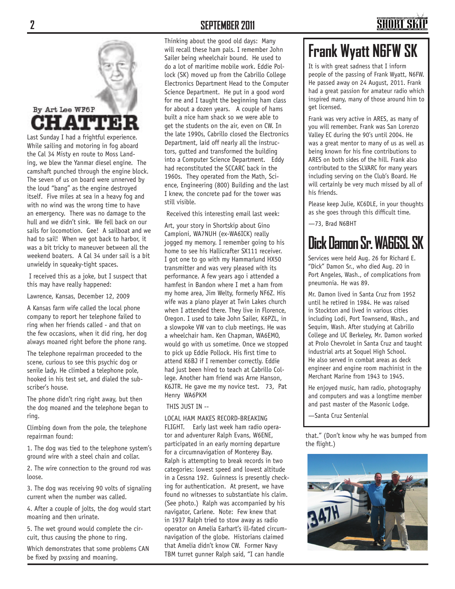# By Art Lee WF6P **HATT**

Last Sunday I had a frightful experience. While sailing and motoring in fog aboard the Cal 34 Misty en route to Moss Landing, we blew the Yanmar diesel engine. The camshaft punched through the engine block. The seven of us on board were unnerved by the loud "bang" as the engine destroyed itself. Five miles at sea in a heavy fog and with no wind was the wrong time to have an emergency. There was no damage to the hull and we didn't sink. We fell back on our sails for locomotion. Gee! A sailboat and we had to sail! When we got back to harbor, it was a bit tricky to maneuver between all the weekend boaters. A Cal 34 under sail is a bit unwieldy in squeaky-tight spaces.

 I received this as a joke, but I suspect that this may have really happened:

Lawrence, Kansas, December 12, 2009

A Kansas farm wife called the local phone company to report her telephone failed to ring when her friends called - and that on the few occasions, when it did ring, her dog always moaned right before the phone rang.

The telephone repairman proceeded to the scene, curious to see this psychic dog or senile lady. He climbed a telephone pole, hooked in his test set, and dialed the subscriber's house.

The phone didn't ring right away, but then the dog moaned and the telephone began to ring.

Climbing down from the pole, the telephone repairman found:

1. The dog was tied to the telephone system's ground wire with a steel chain and collar.

2. The wire connection to the ground rod was loose.

3. The dog was receiving 90 volts of signaling current when the number was called.

4. After a couple of jolts, the dog would start moaning and then urinate.

5. The wet ground would complete the circuit, thus causing the phone to ring.

Which demonstrates that some problems CAN be fixed by pxssing and moaning.

#### **2 SEPTEMBER 2011**

Thinking about the good old days: Many will recall these ham pals. I remember John Sailer being wheelchair bound. He used to do a lot of maritime mobile work. Eddie Pollock (SK) moved up from the Cabrillo College Electronics Department Head to the Computer Science Department. He put in a good word for me and I taught the beginning ham class for about a dozen years. A couple of hams built a nice ham shack so we were able to get the students on the air, even on CW. In the late 1990s, Cabrillo closed the Electronics Department, laid off nearly all the instructors, gutted and transformed the building into a Computer Science Department. Eddy had reconstituted the SCCARC back in the 1960s. They operated from the Math, Science, Engineering (800) Building and the last I knew, the concrete pad for the tower was still visible.

Received this interesting email last week:

Art, your story in Shortskip about Gino Campioni, WA7NUH (ex-WA6ICK) really jogged my memory. I remember going to his home to see his Hallicrafter SX111 receiver. I got one to go with my Hammarlund HX50 transmitter and was very pleased with its performance. A few years ago i attended a hamfest in Bandon where I met a ham from my home area, Jim Welty, formerly NF6Z. His wife was a piano player at Twin Lakes church when I attended there. They live in Florence, Oregon. I used to take John Sailer, K6PZL, in a slowpoke VW van to club meetings. He was a wheelchair ham. Ken Chapman, WA6EMO, would go with us sometime. Once we stopped to pick up Eddie Pollock. His first time to attend K6BJ if I remember correctly. Eddie had just been hired to teach at Cabrillo College. Another ham friend was Arne Hanson, K6JTR. He gave me my novice test. 73, Pat Henry WA6PKM

THIS JUST IN --

#### LOCAL HAM MAKES RECORD-BREAKING

FLIGHT. Early last week ham radio operator and adventurer Ralph Evans, W6ENE, participated in an early morning departure for a circumnavigation of Monterey Bay. Ralph is attempting to break records in two categories: lowest speed and lowest altitude in a Cessna 192. Guinness is presently checking for authentication. At present, we have found no witnesses to substantiate his claim. (See photo.) Ralph was accompanied by his navigator, Carlene. Note: Few knew that in 1937 Ralph tried to stow away as radio operator on Amelia Earhart's ill-fated circumnavigation of the globe. Historians claimed that Amelia didn't know CW. Former Navy TBM turret gunner Ralph said, "I can handle

### **Frank Wyatt N6FW SK**

It is with great sadness that I inform people of the passing of Frank Wyatt, N6FW. He passed away on 24 August, 2011. Frank had a great passion for amateur radio which inspired many, many of those around him to get licensed.

Frank was very active in ARES, as many of you will remember. Frank was San Lorenzo Valley EC during the 90's until 2004. He was a great mentor to many of us as well as being known for his fine contributions to ARES on both sides of the hill. Frank also contributed to the SLVARC for many years including serving on the Club's Board. He will certainly be very much missed by all of his friends.

Please keep Julie, KC6DLE, in your thoughts as she goes through this difficult time.

—73, Brad N6BHT

### **Dick Damon Sr. WA6GSL SK**

Services were held Aug. 26 for Richard E. "Dick" Damon Sr., who died Aug. 20 in Port Angeles, Wash., of complications from pneumonia. He was 89.

Mr. Damon lived in Santa Cruz from 1952 until he retired in 1984. He was raised in Stockton and lived in various cities including Lodi, Port Townsend, Wash., and Sequim, Wash. After studying at Cabrillo College and UC Berkeley, Mr. Damon worked at Prolo Chevrolet in Santa Cruz and taught industrial arts at Soquel High School. He also served in combat areas as deck engineer and engine room machinist in the Merchant Marine from 1943 to 1945.

He enjoyed music, ham radio, photography and computers and was a longtime member and past master of the Masonic Lodge.

—Santa Cruz Sentenial

that." (Don't know why he was bumped from the flight.)

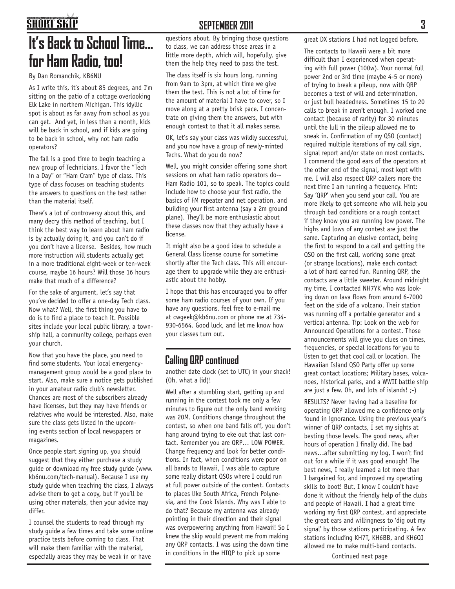### **SHORT SKIP**

### **It's Back to School Time... for Ham Radio, too!**

By Dan Romanchik, KB6NU

As I write this, it's about 85 degrees, and I'm sitting on the patio of a cottage overlooking Elk Lake in northern Michigan. This idyllic spot is about as far away from school as you can get. And yet, in less than a month, kids will be back in school, and if kids are going to be back in school, why not ham radio operators?

The fall is a good time to begin teaching a new group of Technicians. I favor the "Tech in a Day" or "Ham Cram" type of class. This type of class focuses on teaching students the answers to questions on the test rather than the material itself.

There's a lot of controversy about this, and many decry this method of teaching, but I think the best way to learn about ham radio is by actually doing it, and you can't do if you don't have a license. Besides, how much more instruction will students actually get in a more traditional eight-week or ten-week course, maybe 16 hours? Will those 16 hours make that much of a difference?

For the sake of argument, let's say that you've decided to offer a one-day Tech class. Now what? Well, the first thing you have to do is to find a place to teach it. Possible sites include your local public library, a township hall, a community college, perhaps even your church.

Now that you have the place, you need to find some students. Your local emergencymanagement group would be a good place to start. Also, make sure a notice gets published in your amateur radio club's newsletter. Chances are most of the subscribers already have licenses, but they may have friends or relatives who would be interested. Also, make sure the class gets listed in the upcoming events section of local newspapers or magazines.

Once people start signing up, you should suggest that they either purchase a study guide or download my free study guide (www. kb6nu.com/tech-manual). Because I use my study guide when teaching the class, I always advise them to get a copy, but if you'll be using other materials, then your advice may differ.

I counsel the students to read through my study guide a few times and take some online practice tests before coming to class. That will make them familiar with the material, especially areas they may be weak in or have

#### **SEPTEMBER 2011 3**

questions about. By bringing those questions to class, we can address those areas in a little more depth, which will, hopefully, give them the help they need to pass the test.

The class itself is six hours long, running from 9am to 3pm, at which time we give them the test. This is not a lot of time for the amount of material I have to cover, so I move along at a pretty brisk pace. I concentrate on giving them the answers, but with enough context to that it all makes sense.

OK, let's say your class was wildly successful, and you now have a group of newly-minted Techs. What do you do now?

Well, you might consider offering some short sessions on what ham radio operators do-- Ham Radio 101, so to speak. The topics could include how to choose your first radio, the basics of FM repeater and net operation, and building your first antenna (say a 2m ground plane). They'll be more enthusiastic about these classes now that they actually have a license.

It might also be a good idea to schedule a General Class license course for sometime shortly after the Tech class. This will encourage them to upgrade while they are enthusiastic about the hobby.

I hope that this has encouraged you to offer some ham radio courses of your own. If you have any questions, feel free to e-mail me at cwgeek@kb6nu.com or phone me at 734- 930-6564. Good luck, and let me know how your classes turn out.

#### **Calling QRP continued**

another date clock (set to UTC) in your shack! (Oh, what a lid)!

Well after a stumbling start, getting up and running in the contest took me only a few minutes to figure out the only band working was 20M. Conditions change throughout the contest, so when one band falls off, you don't hang around trying to eke out that last contact. Remember you are QRP… LOW POWER. Change frequency and look for better conditions. In fact, when conditions were poor on all bands to Hawaii, I was able to capture some really distant QSOs where I could run at full power outside of the contest. Contacts to places like South Africa, French Polynesia, and the Cook Islands. Why was I able to do that? Because my antenna was already pointing in their direction and their signal was overpowering anything from Hawaii! So I knew the skip would prevent me from making any QRP contacts. I was using the down time in conditions in the HIQP to pick up some

great DX stations I had not logged before.

The contacts to Hawaii were a bit more difficult than I experienced when operating with full power (100w). Your normal full power 2nd or 3rd time (maybe 4-5 or more) of trying to break a pileup, now with QRP becomes a test of will and determination, or just bull headedness. Sometimes 15 to 20 calls to break in aren't enough. I worked one contact (because of rarity) for 30 minutes until the lull in the pileup allowed me to sneak in. Confirmation of my QSO (contact) required multiple iterations of my call sign, signal report and/or state on most contacts. I commend the good ears of the operators at the other end of the signal, most kept with me. I will also respect QRP callers more the next time I am running a frequency. Hint: Say 'QRP' when you send your call. You are more likely to get someone who will help you through bad conditions or a rough contact if they know you are running low power. The highs and lows of any contest are just the same. Capturing an elusive contact, being the first to respond to a call and getting the QSO on the first call, working some great (or strange locations), make each contact a lot of hard earned fun. Running QRP, the contacts are a little sweeter. Around midnight my time, I contacted NH7YK who was looking down on lava flows from around 6-7000 feet on the side of a volcano. Their station was running off a portable generator and a vertical antenna. Tip: Look on the web for Announced Operations for a contest. Those announcements will give you clues on times, frequencies, or special locations for you to listen to get that cool call or location. The Hawaiian Island QSO Party offer up some great contact locations; Military bases, volcanoes, historical parks, and a WWII battle ship are just a few. Oh, and lots of islands! ;-)

RESULTS? Never having had a baseline for operating QRP allowed me a confidence only found in ignorance. Using the previous year's winner of QRP contacts, I set my sights at besting those levels. The good news, after hours of operation I finally did. The bad news…after submitting my log, I won't find out for a while if it was good enough! The best news, I really learned a lot more than I bargained for, and improved my operating skills to boot! But, I know I couldn't have done it without the friendly help of the clubs and people of Hawaii. I had a great time working my first QRP contest, and appreciate the great ears and willingness to 'dig out my signal' by those stations participating. A few stations including KH7T, KH6BB, and KH6QJ allowed me to make multi-band contacts.

Continued next page